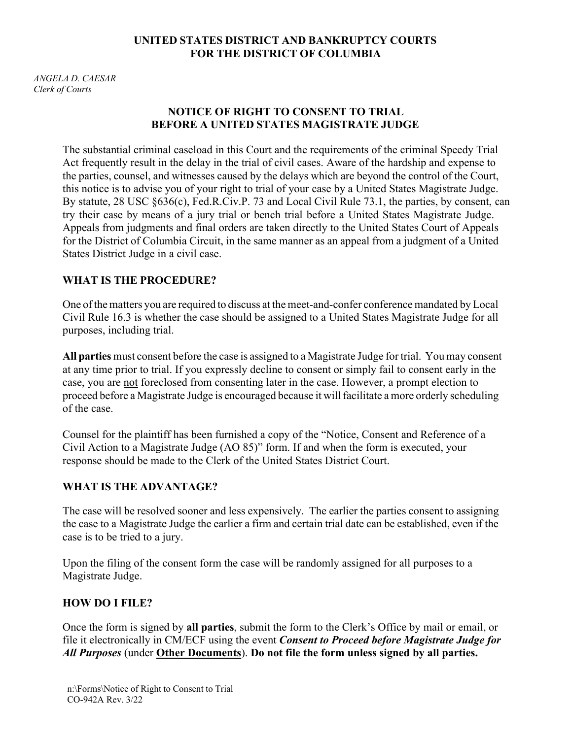#### **UNITED STATES DISTRICT AND BANKRUPTCY COURTS FOR THE DISTRICT OF COLUMBIA**

*ANGELA D. CAESAR Clerk of Courts*

### **NOTICE OF RIGHT TO CONSENT TO TRIAL BEFORE A UNITED STATES MAGISTRATE JUDGE**

The substantial criminal caseload in this Court and the requirements of the criminal Speedy Trial Act frequently result in the delay in the trial of civil cases. Aware of the hardship and expense to the parties, counsel, and witnesses caused by the delays which are beyond the control of the Court, this notice is to advise you of your right to trial of your case by a United States Magistrate Judge. By statute, 28 USC §636(c), Fed.R.Civ.P. 73 and Local Civil Rule 73.1, the parties, by consent, can try their case by means of a jury trial or bench trial before a United States Magistrate Judge. Appeals from judgments and final orders are taken directly to the United States Court of Appeals for the District of Columbia Circuit, in the same manner as an appeal from a judgment of a United States District Judge in a civil case.

#### **WHAT IS THE PROCEDURE?**

One ofthe matters you are required to discuss at the meet-and-confer conference mandated by Local Civil Rule 16.3 is whether the case should be assigned to a United States Magistrate Judge for all purposes, including trial.

**All parties** must consent before the case is assigned to a Magistrate Judge for trial. You may consent at any time prior to trial. If you expressly decline to consent or simply fail to consent early in the case, you are not foreclosed from consenting later in the case. However, a prompt election to proceed before a Magistrate Judge is encouraged because it will facilitate a more orderly scheduling of the case.

Counsel for the plaintiff has been furnished a copy of the "Notice, Consent and Reference of a Civil Action to a Magistrate Judge (AO 85)" form. If and when the form is executed, your response should be made to the Clerk of the United States District Court.

## **WHAT IS THE ADVANTAGE?**

The case will be resolved sooner and less expensively. The earlier the parties consent to assigning the case to a Magistrate Judge the earlier a firm and certain trial date can be established, even if the case is to be tried to a jury.

Upon the filing of the consent form the case will be randomly assigned for all purposes to a Magistrate Judge.

#### **HOW DO I FILE?**

Once the form is signed by **all parties**, submit the form to the Clerk's Office by mail or email, or file it electronically in CM/ECF using the event *Consent to Proceed before Magistrate Judge for All Purposes* (under **Other Documents**). **Do not file the form unless signed by all parties.**